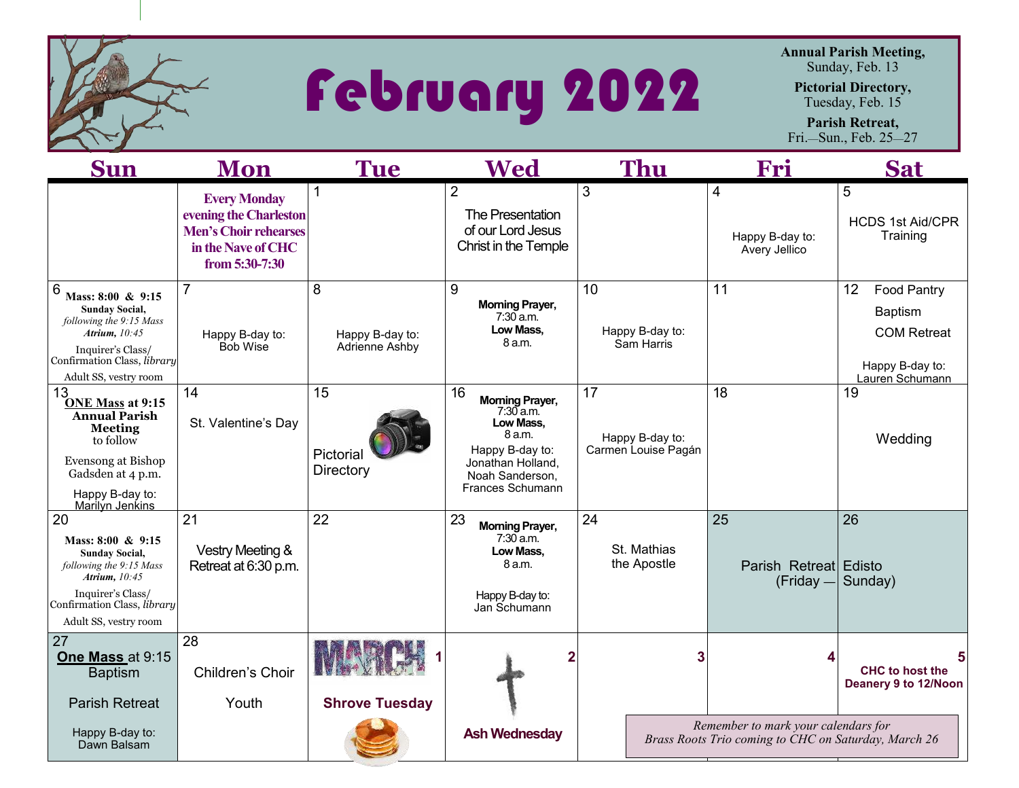

## February 2022

**Annual Parish Meeting,**  Sunday, Feb. 13

**Pictorial Directory,** 

Tuesday, Feb. 15

**Parish Retreat,**  Fri.—Sun., Feb. 25—27

| <b>Sun</b>                                                                                                                                                                                     | Mon                                                                                                                   | <b>Tue</b>                             | <b>Wed</b>                                                                                                                                        | <b>Thu</b>                                   | Fri                                                                                         | <b>Sat</b>                                                                                             |
|------------------------------------------------------------------------------------------------------------------------------------------------------------------------------------------------|-----------------------------------------------------------------------------------------------------------------------|----------------------------------------|---------------------------------------------------------------------------------------------------------------------------------------------------|----------------------------------------------|---------------------------------------------------------------------------------------------|--------------------------------------------------------------------------------------------------------|
|                                                                                                                                                                                                | <b>Every Monday</b><br>evening the Charleston<br><b>Men's Choir rehearses</b><br>in the Nave of CHC<br>from 5:30-7:30 | 1                                      | $\overline{2}$<br>The Presentation<br>of our Lord Jesus<br><b>Christ in the Temple</b>                                                            | 3                                            | 4<br>Happy B-day to:<br>Avery Jellico                                                       | 5<br><b>HCDS 1st Aid/CPR</b><br>Training                                                               |
| $6\phantom{1}6$<br>Mass: 8:00 & 9:15<br><b>Sunday Social,</b><br>following the 9:15 Mass<br><b>Atrium</b> , 10:45<br>Inquirer's Class/<br>Confirmation Class, library<br>Adult SS, vestry room | $\overline{7}$<br>Happy B-day to:<br><b>Bob Wise</b>                                                                  | 8<br>Happy B-day to:<br>Adrienne Ashby | 9<br><b>Morning Prayer,</b><br>7:30 a.m.<br>Low Mass.<br>8 a.m.                                                                                   | 10<br>Happy B-day to:<br>Sam Harris          | 11                                                                                          | 12<br><b>Food Pantry</b><br><b>Baptism</b><br><b>COM Retreat</b><br>Happy B-day to:<br>Lauren Schumann |
| 13<br><b>ONE Mass at 9:15</b><br><b>Annual Parish</b><br><b>Meeting</b><br>to follow<br>Evensong at Bishop<br>Gadsden at 4 p.m.<br>Happy B-day to:<br><b>Marilyn Jenkins</b>                   | 14<br>St. Valentine's Day                                                                                             | 15<br>Pictorial<br>Directory           | 16<br><b>Morning Prayer,</b><br>$7:30$ a.m.<br>Low Mass,<br>8 a.m.<br>Happy B-day to:<br>Jonathan Holland,<br>Noah Sanderson,<br>Frances Schumann | 17<br>Happy B-day to:<br>Carmen Louise Pagán | 18                                                                                          | 19<br>Wedding                                                                                          |
| 20<br>Mass: $8:00 \& 9:15$<br><b>Sunday Social,</b><br>following the 9:15 Mass<br>Atrium, 10:45<br>Inquirer's Class/<br>Confirmation Class, library<br>Adult SS, vestry room                   | 21<br><b>Vestry Meeting &amp;</b><br>Retreat at 6:30 p.m.                                                             | 22                                     | 23<br><b>Morning Prayer,</b><br>$7:30$ a.m.<br>Low Mass,<br>8 a.m.<br>Happy B-day to:<br>Jan Schumann                                             | 24<br>St. Mathias<br>the Apostle             | 25<br>Parish Retreat Edisto<br>$(Friday -$                                                  | 26<br>Sunday)                                                                                          |
| 27<br>One Mass at 9:15<br><b>Baptism</b><br><b>Parish Retreat</b>                                                                                                                              | 28<br>Children's Choir<br>Youth                                                                                       | <b>Shrove Tuesday</b>                  |                                                                                                                                                   |                                              |                                                                                             | <b>CHC</b> to host the<br>Deanery 9 to 12/Noon                                                         |
| Happy B-day to:<br>Dawn Balsam                                                                                                                                                                 |                                                                                                                       |                                        | <b>Ash Wednesday</b>                                                                                                                              |                                              | Remember to mark your calendars for<br>Brass Roots Trio coming to CHC on Saturday, March 26 |                                                                                                        |